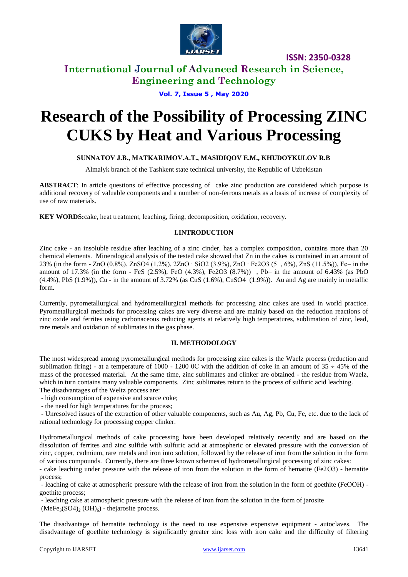

**ISSN: 2350-0328**

# **International Journal of Advanced Research in Science, Engineering and Technology**

**Vol. 7, Issue 5 , May 2020**

# **Research of the Possibility of Processing ZINC CUKS by Heat and Various Processing**

### **SUNNATOV J.B., MATKARIMOV.A.Т., MASIDIQOV E.M., KHUDOYKULOV R.B**

Almalyk branch of the Tashkent state technical university, the Republic of Uzbekistan

**ABSTRACT**: In article questions of effective processing of cake zinc production are considered which purpose is additional recovery of valuable components and a number of non-ferrous metals as a basis of increase of complexity of use of raw materials.

**KEY WORDS:**cake, heat treatment, leaching, firing, decomposition, oxidation, recovery.

### **I.INTRODUCTION**

Zinc cake - an insoluble residue after leaching of a zinc cinder, has a complex composition, contains more than 20 chemical elements. Mineralogical analysis of the tested cake showed that Zn in the cakes is contained in an amount of 23% (in the form - ZnO (0.8%), ZnSO4 (1.2%), 2ZnO ∙ SiO2 (3.9%), ZnO ∙ Fe2O3 (5 , 6%), ZnS (11.5%)), Fe– in the amount of 17.3% (in the form - FeS (2.5%), FeO (4.3%), Fe2O3 (8.7%)) , Pb– in the amount of 6.43% (as PbO  $(4.4\%)$ , PbS  $(1.9\%)$ , Cu - in the amount of 3.72% (as CuS  $(1.6\%)$ , CuSO4  $(1.9\%)$ ). Au and Ag are mainly in metallic form.

Currently, pyrometallurgical and hydrometallurgical methods for processing zinc cakes are used in world practice. Pyrometallurgical methods for processing cakes are very diverse and are mainly based on the reduction reactions of zinc oxide and ferrites using carbonaceous reducing agents at relatively high temperatures, sublimation of zinc, lead, rare metals and oxidation of sublimates in the gas phase.

### **II. METHODOLOGY**

The most widespread among pyrometallurgical methods for processing zinc cakes is the Waelz process (reduction and sublimation firing) - at a temperature of 1000 - 1200 0C with the addition of coke in an amount of  $35 \div 45\%$  of the mass of the processed material. At the same time, zinc sublimates and clinker are obtained - the residue from Waelz, which in turn contains many valuable components. Zinc sublimates return to the process of sulfuric acid leaching.

The disadvantages of the Weltz process are:

- high consumption of expensive and scarce coke;
- the need for high temperatures for the process;

- Unresolved issues of the extraction of other valuable components, such as Au, Ag, Pb, Cu, Fe, etc. due to the lack of rational technology for processing copper clinker.

Hydrometallurgical methods of cake processing have been developed relatively recently and are based on the dissolution of ferrites and zinc sulfide with sulfuric acid at atmospheric or elevated pressure with the conversion of zinc, copper, cadmium, rare metals and iron into solution, followed by the release of iron from the solution in the form of various compounds. Currently, there are three known schemes of hydrometallurgical processing of zinc cakes:

- cake leaching under pressure with the release of iron from the solution in the form of hematite (Fe2О3) - hematite process;

- leaching of cake at atmospheric pressure with the release of iron from the solution in the form of goethite (FeOOH) goethite process;

- leaching cake at atmospheric pressure with the release of iron from the solution in the form of jarosite  $(MeFe<sub>3</sub>(SO4)<sub>2</sub>(OH)<sub>6</sub>)$  - the arosite process.

The disadvantage of hematite technology is the need to use expensive expensive equipment - autoclaves. The disadvantage of goethite technology is significantly greater zinc loss with iron cake and the difficulty of filtering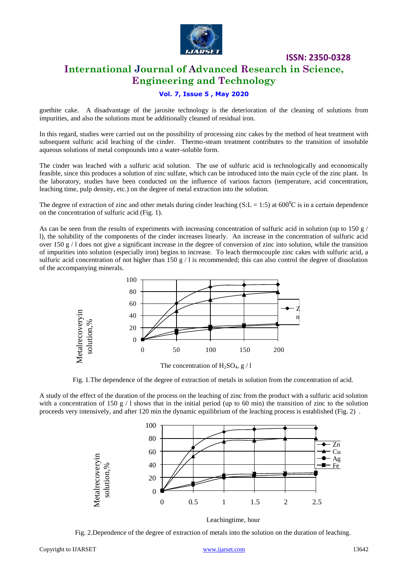

### **ISSN: 2350-0328**

# **International Journal of Advanced Research in Science, Engineering and Technology**

### **Vol. 7, Issue 5 , May 2020**

goethite cake. A disadvantage of the jarosite technology is the deterioration of the cleaning of solutions from impurities, and also the solutions must be additionally cleaned of residual iron.

In this regard, studies were carried out on the possibility of processing zinc cakes by the method of heat treatment with subsequent sulfuric acid leaching of the cinder. Thermo-steam treatment contributes to the transition of insoluble aqueous solutions of metal compounds into a water-soluble form.

The cinder was leached with a sulfuric acid solution. The use of sulfuric acid is technologically and economically feasible, since this produces a solution of zinc sulfate, which can be introduced into the main cycle of the zinc plant. In the laboratory, studies have been conducted on the influence of various factors (temperature, acid concentration, leaching time, pulp density, etc.) on the degree of metal extraction into the solution.

The degree of extraction of zinc and other metals during cinder leaching (S:L = 1:5) at  $600^{\circ}$ C is in a certain dependence on the concentration of sulfuric acid (Fig. 1).

As can be seen from the results of experiments with increasing concentration of sulfuric acid in solution (up to 150 g/ l), the solubility of the components of the cinder increases linearly. An increase in the concentration of sulfuric acid over 150  $g/1$  does not give a significant increase in the degree of conversion of zinc into solution, while the transition of impurities into solution (especially iron) begins to increase. To leach thermocouple zinc cakes with sulfuric acid, a sulfuric acid concentration of not higher than 150 g  $/1$  is recommended; this can also control the degree of dissolution of the accompanying minerals.



Fig. 1.The dependence of the degree of extraction of metals in solution from the concentration of acid.

A study of the effect of the duration of the process on the leaching of zinc from the product with a sulfuric acid solution with a concentration of 150 g  $/1$  shows that in the initial period (up to 60 min) the transition of zinc to the solution proceeds very intensively, and after 120 min the dynamic equilibrium of the leaching process is established (Fig. 2) .



Leachingtime, hour

Fig. 2.Dependence of the degree of extraction of metals into the solution on the duration of leaching.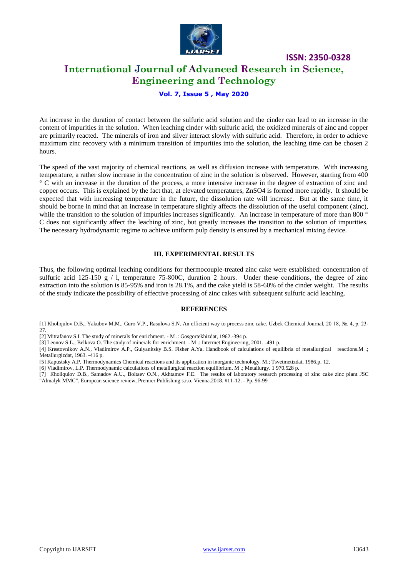

# **International Journal of Advanced Research in Science, Engineering and Technology**

**ISSN: 2350-0328**

### **Vol. 7, Issue 5 , May 2020**

An increase in the duration of contact between the sulfuric acid solution and the cinder can lead to an increase in the content of impurities in the solution. When leaching cinder with sulfuric acid, the oxidized minerals of zinc and copper are primarily reacted. The minerals of iron and silver interact slowly with sulfuric acid. Therefore, in order to achieve maximum zinc recovery with a minimum transition of impurities into the solution, the leaching time can be chosen 2 hours.

The speed of the vast majority of chemical reactions, as well as diffusion increase with temperature. With increasing temperature, a rather slow increase in the concentration of zinc in the solution is observed. However, starting from 400 ° C with an increase in the duration of the process, a more intensive increase in the degree of extraction of zinc and copper occurs. This is explained by the fact that, at elevated temperatures, ZnSO4 is formed more rapidly. It should be expected that with increasing temperature in the future, the dissolution rate will increase. But at the same time, it should be borne in mind that an increase in temperature slightly affects the dissolution of the useful component (zinc), while the transition to the solution of impurities increases significantly. An increase in temperature of more than 800  $\degree$ C does not significantly affect the leaching of zinc, but greatly increases the transition to the solution of impurities. The necessary hydrodynamic regime to achieve uniform pulp density is ensured by a mechanical mixing device.

#### **III. EXPERIMENTAL RESULTS**

Thus, the following optimal leaching conditions for thermocouple-treated zinc cake were established: concentration of sulfuric acid 125-150 g / l, temperature 75-800C, duration 2 hours. Under these conditions, the degree of zinc extraction into the solution is 85-95% and iron is 28.1%, and the cake yield is 58-60% of the cinder weight. The results of the study indicate the possibility of effective processing of zinc cakes with subsequent sulfuric acid leaching.

#### **REFERENCES**

[1] Kholiqulov D.B., Yakubov M.M., Guro V.P., Rasulova S.N. An efficient way to process zinc cake. Uzbek Chemical Journal, 20 18, №. 4, p. 23- 27.

[2] Mitrafanov S.I. The study of minerals for enrichment. - M .: Gosgortekhizdat, 1962.-394 p.

[3] Leonov S.L., Belkova O. The study of minerals for enrichment. - M .: Intermet Engineering, 2001. -491 p.

[4] Krestovnikov A.N., Vladimirov A.P., Gulyanitsky B.S. Fisher A.Ya. Handbook of calculations of equilibria of metallurgical reactions.M .; Metallurgizdat, 1963. -416 p.

[5] Kapustsky A.P. Thermodynamics Chemical reactions and its application in inorganic technology. M.; Tsvetmetizdat, 1986.p. 12.

[6] Vladimirov, L.P. Thermodynamic calculations of metallurgical reaction equilibrium. M .; Metallurgy. 1 970.528 p.

[7] Кholiqulov D.B., Samadov A.U., Boltaev O.N., Akhtamov F.E. The results of laboratory research processing of zinc cake zinc plant JSC "Almalyk MMC". European science review, Premier Publishing s.r.o. Vienna.2018. #11-12. - Pp. 96-99